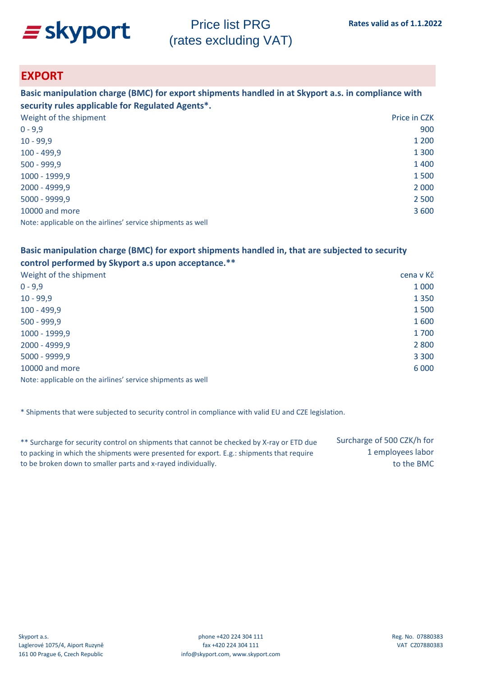

### **EXPORT**

**Basic manipulation charge (BMC) for export shipments handled in at Skyport a.s. in compliance with security rules applicable for Regulated Agents\*.**

| Weight of the shipment                                      | Price in CZK |
|-------------------------------------------------------------|--------------|
| $0 - 9,9$                                                   | 900          |
| $10 - 99,9$                                                 | 1 200        |
| $100 - 499,9$                                               | 1 3 0 0      |
| $500 - 999,9$                                               | 1400         |
| 1000 - 1999,9                                               | 1500         |
| 2000 - 4999,9                                               | 2 0 0 0      |
| 5000 - 9999,9                                               | 2 5 0 0      |
| 10000 and more                                              | 3 600        |
| Note: applicable on the airlines' service shipments as well |              |

#### **Basic manipulation charge (BMC) for export shipments handled in, that are subjected to security control performed by Skyport a.s upon acceptance.\*\***

| Weight of the shipment                                      | cena v Kč |
|-------------------------------------------------------------|-----------|
| $0 - 9.9$                                                   | 1 0 0 0   |
| $10 - 99,9$                                                 | 1 3 5 0   |
| $100 - 499,9$                                               | 1500      |
| $500 - 999,9$                                               | 1600      |
| 1000 - 1999,9                                               | 1700      |
| 2000 - 4999,9                                               | 2 8 0 0   |
| 5000 - 9999,9                                               | 3 3 0 0   |
| 10000 and more                                              | 6 0 0 0   |
| Note: applicable on the airlines' service shipments as well |           |

\* Shipments that were subjected to security control in compliance with valid EU and CZE legislation.

| ** Surcharge for security control on shipments that cannot be checked by X-ray or ETD due | Surcharge of 500 CZK/h for |
|-------------------------------------------------------------------------------------------|----------------------------|
| to packing in which the shipments were presented for export. E.g.: shipments that require | 1 employees labor          |
| to be broken down to smaller parts and x-rayed individually.                              | to the BMC                 |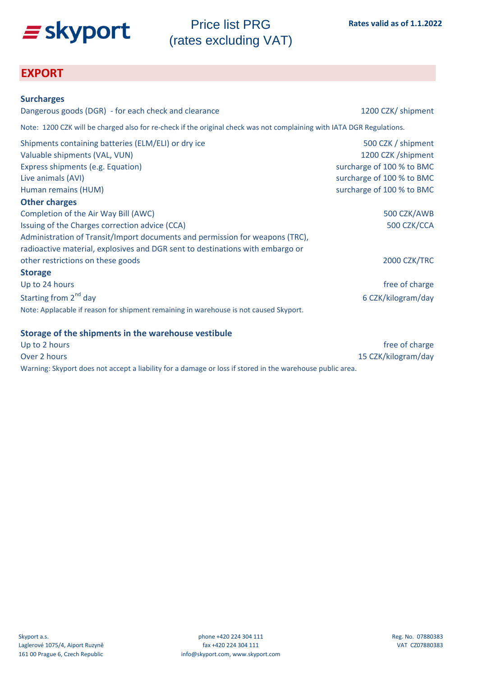

### **EXPORT**

| <b>Surcharges</b>                                                                                                     |                           |
|-----------------------------------------------------------------------------------------------------------------------|---------------------------|
| Dangerous goods (DGR) - for each check and clearance                                                                  | 1200 CZK/ shipment        |
| Note: 1200 CZK will be charged also for re-check if the original check was not complaining with IATA DGR Regulations. |                           |
| Shipments containing batteries (ELM/ELI) or dry ice                                                                   | 500 CZK / shipment        |
| Valuable shipments (VAL, VUN)                                                                                         | 1200 CZK /shipment        |
| Express shipments (e.g. Equation)                                                                                     | surcharge of 100 % to BMC |
| Live animals (AVI)                                                                                                    | surcharge of 100 % to BMC |
| Human remains (HUM)                                                                                                   | surcharge of 100 % to BMC |
| <b>Other charges</b>                                                                                                  |                           |
| Completion of the Air Way Bill (AWC)                                                                                  | 500 CZK/AWB               |
| Issuing of the Charges correction advice (CCA)                                                                        | 500 CZK/CCA               |
| Administration of Transit/Import documents and permission for weapons (TRC),                                          |                           |
| radioactive material, explosives and DGR sent to destinations with embargo or                                         |                           |
| other restrictions on these goods                                                                                     | 2000 CZK/TRC              |
| <b>Storage</b>                                                                                                        |                           |
| Up to 24 hours                                                                                                        | free of charge            |
| Starting from 2 <sup>nd</sup> day                                                                                     | 6 CZK/kilogram/day        |
| Note: Applacable if reason for shipment remaining in warehouse is not caused Skyport.                                 |                           |

#### **Storage of the shipments in the warehouse vestibule**

| Up to 2 hours                                                                                             | free of charge      |
|-----------------------------------------------------------------------------------------------------------|---------------------|
| Over 2 hours                                                                                              | 15 CZK/kilogram/day |
| Warning: Skyport does not accept a liability for a damage or loss if stored in the warehouse public area. |                     |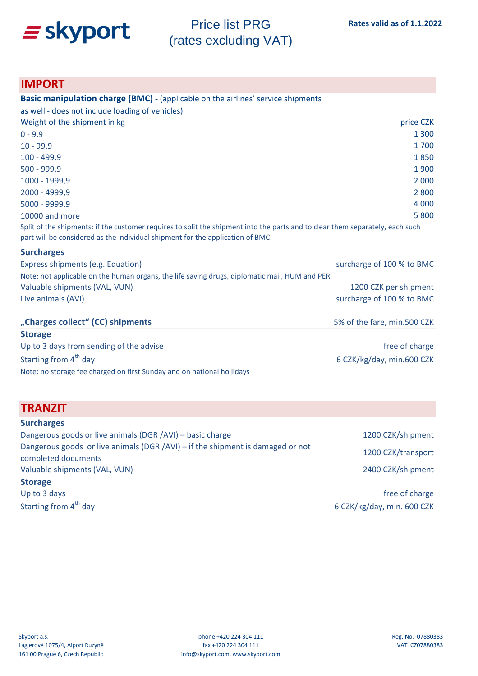

### **IMPORT**

| <b>Basic manipulation charge (BMC) - (applicable on the airlines' service shipments</b>                                                                                                                         |                             |
|-----------------------------------------------------------------------------------------------------------------------------------------------------------------------------------------------------------------|-----------------------------|
| as well - does not include loading of vehicles)                                                                                                                                                                 |                             |
| Weight of the shipment in kg                                                                                                                                                                                    | price CZK                   |
| $0 - 9,9$                                                                                                                                                                                                       | 1 3 0 0                     |
| $10 - 99.9$                                                                                                                                                                                                     | 1700                        |
| $100 - 499,9$                                                                                                                                                                                                   | 1850                        |
| $500 - 999,9$                                                                                                                                                                                                   | 1900                        |
| 1000 - 1999,9                                                                                                                                                                                                   | 2 0 0 0                     |
| 2000 - 4999,9                                                                                                                                                                                                   | 2 8 0 0                     |
| 5000 - 9999,9                                                                                                                                                                                                   | 4 0 0 0                     |
| 10000 and more                                                                                                                                                                                                  | 5 800                       |
| Split of the shipments: if the customer requires to split the shipment into the parts and to clear them separately, each such<br>part will be considered as the individual shipment for the application of BMC. |                             |
| <b>Surcharges</b>                                                                                                                                                                                               |                             |
| Express shipments (e.g. Equation)                                                                                                                                                                               | surcharge of 100 % to BMC   |
| Note: not applicable on the human organs, the life saving drugs, diplomatic mail, HUM and PER                                                                                                                   |                             |
| Valuable shipments (VAL, VUN)                                                                                                                                                                                   | 1200 CZK per shipment       |
| Live animals (AVI)                                                                                                                                                                                              | surcharge of 100 % to BMC   |
| "Charges collect" (CC) shipments                                                                                                                                                                                | 5% of the fare, min.500 CZK |
| <b>Storage</b>                                                                                                                                                                                                  |                             |
| Up to 3 days from sending of the advise                                                                                                                                                                         | free of charge              |
| Starting from 4 <sup>th</sup> day                                                                                                                                                                               | 6 CZK/kg/day, min.600 CZK   |

Note: no storage fee charged on first Sunday and on national hollidays

### **TRANZIT**

| <b>Surcharges</b>                                                                                     |                            |
|-------------------------------------------------------------------------------------------------------|----------------------------|
| Dangerous goods or live animals (DGR /AVI) - basic charge                                             | 1200 CZK/shipment          |
| Dangerous goods or live animals (DGR /AVI) - if the shipment is damaged or not<br>completed documents | 1200 CZK/transport         |
| Valuable shipments (VAL, VUN)                                                                         | 2400 CZK/shipment          |
| <b>Storage</b>                                                                                        |                            |
| Up to 3 days                                                                                          | free of charge             |
| Starting from 4 <sup>th</sup> day                                                                     | 6 CZK/kg/day, min. 600 CZK |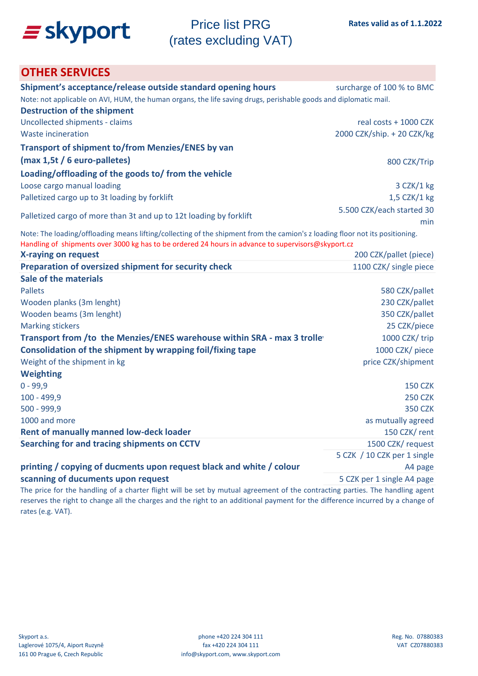

### **OTHER SERVICES**

| Shipment's acceptance/release outside standard opening hours                                                                 | surcharge of 100 % to BMC   |  |  |  |
|------------------------------------------------------------------------------------------------------------------------------|-----------------------------|--|--|--|
| Note: not applicable on AVI, HUM, the human organs, the life saving drugs, perishable goods and diplomatic mail.             |                             |  |  |  |
| <b>Destruction of the shipment</b>                                                                                           |                             |  |  |  |
| Uncollected shipments - claims                                                                                               | real costs + 1000 CZK       |  |  |  |
| Waste incineration                                                                                                           | 2000 CZK/ship. + 20 CZK/kg  |  |  |  |
| <b>Transport of shipment to/from Menzies/ENES by van</b>                                                                     |                             |  |  |  |
| (max 1,5t / 6 euro-palletes)                                                                                                 | 800 CZK/Trip                |  |  |  |
| Loading/offloading of the goods to/ from the vehicle                                                                         |                             |  |  |  |
| Loose cargo manual loading                                                                                                   | 3 CZK/1 kg                  |  |  |  |
| Palletized cargo up to 3t loading by forklift                                                                                | 1,5 CZK/1 kg                |  |  |  |
|                                                                                                                              | 5.500 CZK/each started 30   |  |  |  |
| Palletized cargo of more than 3t and up to 12t loading by forklift                                                           | min                         |  |  |  |
| Note: The loading/offloading means lifting/collecting of the shipment from the camion's z loading floor not its positioning. |                             |  |  |  |
| Handling of shipments over 3000 kg has to be ordered 24 hours in advance to supervisors@skyport.cz                           |                             |  |  |  |
| X-raying on request                                                                                                          | 200 CZK/pallet (piece)      |  |  |  |
| Preparation of oversized shipment for security check                                                                         | 1100 CZK/ single piece      |  |  |  |
| Sale of the materials                                                                                                        |                             |  |  |  |
| <b>Pallets</b>                                                                                                               | 580 CZK/pallet              |  |  |  |
| Wooden planks (3m lenght)                                                                                                    | 230 CZK/pallet              |  |  |  |
| Wooden beams (3m lenght)                                                                                                     | 350 CZK/pallet              |  |  |  |
| <b>Marking stickers</b>                                                                                                      | 25 CZK/piece                |  |  |  |
| Transport from /to the Menzies/ENES warehouse within SRA - max 3 trolle                                                      | 1000 CZK/trip               |  |  |  |
| Consolidation of the shipment by wrapping foil/fixing tape                                                                   | 1000 CZK/ piece             |  |  |  |
| Weight of the shipment in kg                                                                                                 | price CZK/shipment          |  |  |  |
| <b>Weighting</b>                                                                                                             |                             |  |  |  |
| $0 - 99,9$                                                                                                                   | <b>150 CZK</b>              |  |  |  |
| $100 - 499,9$                                                                                                                | <b>250 CZK</b>              |  |  |  |
| 500 - 999,9                                                                                                                  | <b>350 CZK</b>              |  |  |  |
| 1000 and more                                                                                                                | as mutually agreed          |  |  |  |
| <b>Rent of manually manned low-deck loader</b>                                                                               | 150 CZK/rent                |  |  |  |
| Searching for and tracing shipments on CCTV                                                                                  | 1500 CZK/request            |  |  |  |
|                                                                                                                              | 5 CZK / 10 CZK per 1 single |  |  |  |
| printing / copying of ducments upon request black and white / colour                                                         | A4 page                     |  |  |  |
| scanning of ducuments upon request                                                                                           | 5 CZK per 1 single A4 page  |  |  |  |

The price for the handling of a charter flight will be set by mutual agreement of the contracting parties. The handling agent reserves the right to change all the charges and the right to an additional payment for the difference incurred by a change of rates (e.g. VAT).